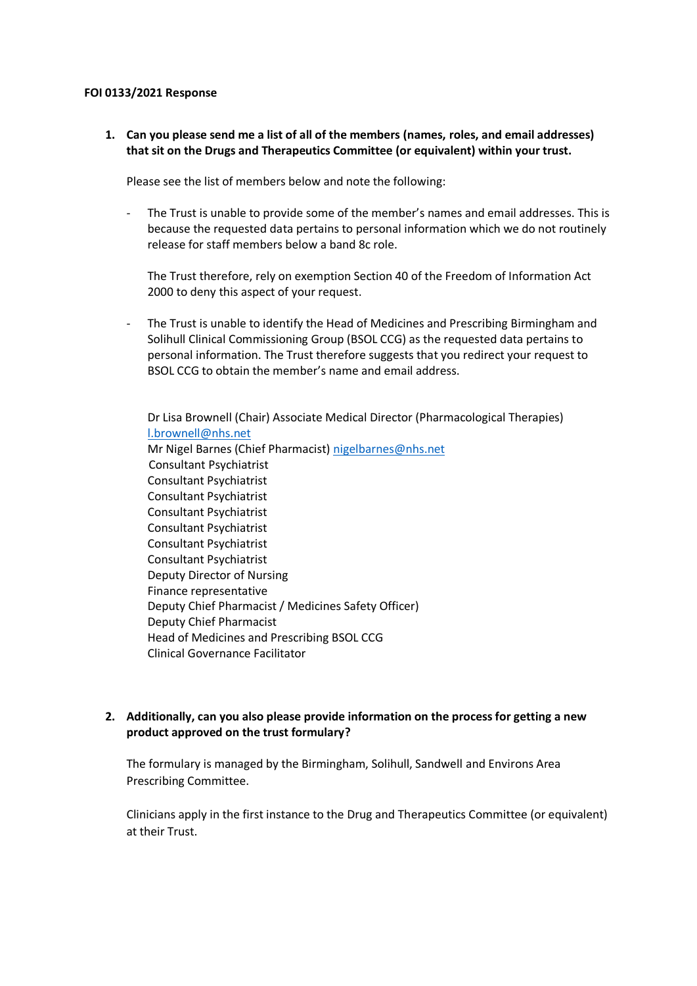## **FOI 0133/2021 Response**

**1. Can you please send me a list of all of the members (names, roles, and email addresses) that sit on the Drugs and Therapeutics Committee (or equivalent) within your trust.** 

Please see the list of members below and note the following:

- The Trust is unable to provide some of the member's names and email addresses. This is because the requested data pertains to personal information which we do not routinely release for staff members below a band 8c role.

The Trust therefore, rely on exemption Section 40 of the Freedom of Information Act 2000 to deny this aspect of your request.

The Trust is unable to identify the Head of Medicines and Prescribing Birmingham and Solihull Clinical Commissioning Group (BSOL CCG) as the requested data pertains to personal information. The Trust therefore suggests that you redirect your request to BSOL CCG to obtain the member's name and email address.

Dr Lisa Brownell (Chair) Associate Medical Director (Pharmacological Therapies) [l.brownell@nhs.net](mailto:l.brownell@nhs.net) Mr Nigel Barnes (Chief Pharmacist[\) nigelbarnes@nhs.net](mailto:nigelbarnes@nhs.net) Consultant Psychiatrist Consultant Psychiatrist Consultant Psychiatrist Consultant Psychiatrist Consultant Psychiatrist Consultant Psychiatrist Consultant Psychiatrist Deputy Director of Nursing Finance representative Deputy Chief Pharmacist / Medicines Safety Officer) Deputy Chief Pharmacist Head of Medicines and Prescribing BSOL CCG Clinical Governance Facilitator

## **2. Additionally, can you also please provide information on the process for getting a new product approved on the trust formulary?**

The formulary is managed by the Birmingham, Solihull, Sandwell and Environs Area Prescribing Committee.

Clinicians apply in the first instance to the Drug and Therapeutics Committee (or equivalent) at their Trust.